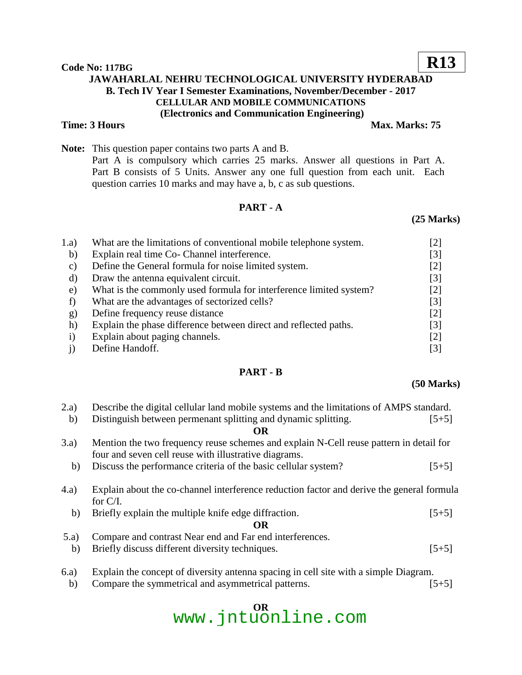#### **Code No: 117BG JAWAHARLAL NEHRU TECHNOLOGICAL UNIVERSITY HYDERABAD B. Tech IV Year I Semester Examinations, November/December - 2017 CELLULAR AND MOBILE COMMUNICATIONS (Electronics and Communication Engineering) Time: 3 Hours** Max. Marks: 75

**Note:** This question paper contains two parts A and B. Part A is compulsory which carries 25 marks. Answer all questions in Part A. Part B consists of 5 Units. Answer any one full question from each unit. Each question carries 10 marks and may have a, b, c as sub questions.

### **PART - A**

#### **(25 Marks)**

| What are the limitations of conventional mobile telephone system.  | [2]   |
|--------------------------------------------------------------------|-------|
| Explain real time Co- Channel interference.                        | [3]   |
| Define the General formula for noise limited system.               | [2]   |
| Draw the antenna equivalent circuit.                               | $[3]$ |
| What is the commonly used formula for interference limited system? | [2]   |
| What are the advantages of sectorized cells?                       | [3]   |
| Define frequency reuse distance                                    | $[2]$ |
| Explain the phase difference between direct and reflected paths.   | [3]   |
| Explain about paging channels.                                     | [2]   |
| Define Handoff.                                                    | [3]   |
|                                                                    |       |

### **PART - B**

#### **(50 Marks)**

| (2.a) | Describe the digital cellular land mobile systems and the limitations of AMPS standard.   |         |  |
|-------|-------------------------------------------------------------------------------------------|---------|--|
| b)    | Distinguish between permenant splitting and dynamic splitting.                            | $[5+5]$ |  |
|       | <b>OR</b>                                                                                 |         |  |
| (3.a) | Mention the two frequency reuse schemes and explain N-Cell reuse pattern in detail for    |         |  |
|       | four and seven cell reuse with illustrative diagrams.                                     |         |  |
| b)    | Discuss the performance criteria of the basic cellular system?                            | $[5+5]$ |  |
|       |                                                                                           |         |  |
| (4.a) | Explain about the co-channel interference reduction factor and derive the general formula |         |  |
|       | for $C/I$ .                                                                               |         |  |
| b)    | Briefly explain the multiple knife edge diffraction.                                      | $[5+5]$ |  |
|       | <b>OR</b>                                                                                 |         |  |
| (5.a) | Compare and contrast Near end and Far end interferences.                                  |         |  |
| b)    | Briefly discuss different diversity techniques.                                           | $[5+5]$ |  |
|       |                                                                                           |         |  |
|       |                                                                                           |         |  |

- 6.a) Explain the concept of diversity antenna spacing in cell site with a simple Diagram.
	- b) Compare the symmetrical and asymmetrical patterns. [5+5]

# **OR** www.jntuonline.com

## **R13**